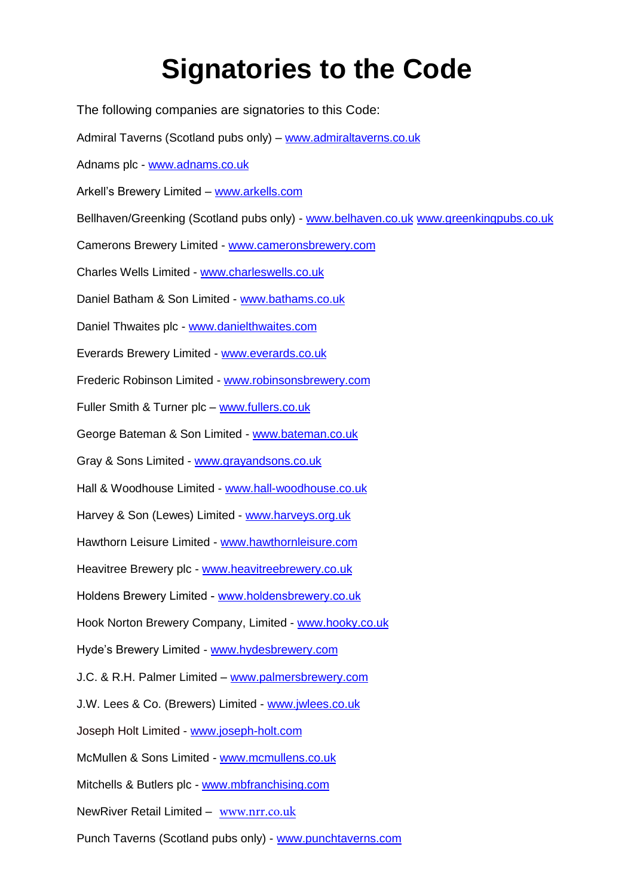## **Signatories to the Code**

The following companies are signatories to this Code: Admiral Taverns (Scotland pubs only) – [www.admiraltaverns.co.uk](http://www.admiraltaverns.co.uk/) Adnams plc - [www.adnams.co.uk](http://www.adnams.co.uk/) Arkell's Brewery Limited – [www.arkells.com](http://www.arkells.com/) Bellhaven/Greenking (Scotland pubs only) - [www.belhaven.co.uk](http://www.belhaven.co.uk/) [www.greenkingpubs.co.uk](http://www.greenkingpubs.co.uk/) Camerons Brewery Limited - [www.cameronsbrewery.com](http://www.cameronsbrewery.com/) Charles Wells Limited - [www.charleswells.co.uk](http://www.charleswells.co.uk/) Daniel Batham & Son Limited - [www.bathams.co.uk](http://www.bathams.co.uk/) Daniel Thwaites plc - [www.danielthwaites.com](http://www.danielthwaites.com/) Everards Brewery Limited - [www.everards.co.uk](http://www.everards.co.uk/) Frederic Robinson Limited - [www.robinsonsbrewery.com](http://www.robinsonsbrewery.com/) Fuller Smith & Turner plc – [www.fullers.co.uk](http://www.fullers.co.uk/) George Bateman & Son Limited - [www.bateman.co.uk](http://www.bateman.co.uk/) Gray & Sons Limited - [www.grayandsons.co.uk](http://www.grayandsons.co.uk/) Hall & Woodhouse Limited - [www.hall-woodhouse.co.uk](http://www.hall-woodhouse.co.uk/) Harvey & Son (Lewes) Limited - [www.harveys.org.uk](http://www.harveys.org.uk/) Hawthorn Leisure Limited [- www.hawthornleisure.com](http://www.hawthornleisure.com/) Heavitree Brewery plc - [www.heavitreebrewery.co.uk](http://www.heavitreebrewery.co.uk/) Holdens Brewery Limited - www.holdens[brewery.co.uk](http://www.hooky.co.uk/) Hook Norton Brewery Co[mpany, Limited - www.hoo](http://www.hydesbrewery.com/)ky.co.uk Hyde's Brewery Limited - w[ww.hydesbrewery.com](http://www.palmersbrewery.com/) J.C. & R.H. Palmer Limited – www.[palmersbrewery.com](http://www.jwlees.co.uk/) J.W. Lees & Co. (Bre[wers\) Limited - www.jw](http://www.joseph-holt.com/)lees.co.uk Joseph Holt Limited - www[.joseph-holt.com](http://www.mcmullens.co.uk/) McMullen & Sons Limit[ed - www.mcmullens.co.uk](http://www.mbfranchising.com/) Mitchells & Butlers plc - www.mbfranchising.com NewRiver Retail Limited – www.nrr.c[o.uk](http://www.punchtaverns.com/)

Punch Taverns (Scotland pubs only) - www.punchtaverns.com